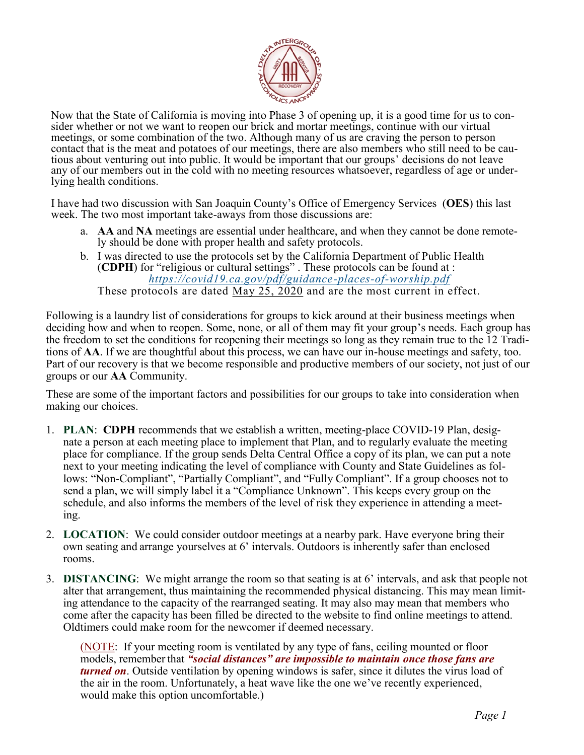

Now that the State of California is moving into Phase 3 of opening up, it is a good time for us to consider whether or not we want to reopen our brick and mortar meetings, continue with our virtual meetings, or some combination of the two. Although many of us are craving the person to person contact that is the meat and potatoes of our meetings, there are also members who still need to be cautious about venturing out into public. It would be important that our groups' decisions do not leave any of our members out in the cold with no meeting resources whatsoever, regardless of age or underlying health conditions.

I have had two discussion with San Joaquin County's Office of Emergency Services (**OES**) this last week. The two most important take-aways from those discussions are:

- a. **AA** and **NA** meetings are essential under healthcare, and when they cannot be done remotely should be done with proper health and safety protocols.
- b. I was directed to use the protocols set by the California Department of Public Health (**CDPH**) for "religious or cultural settings" . These protocols can be found at : *https://covid19.ca.gov/pdf/guidance-places-of-worship.pdf* These protocols are dated May 25, 2020 and are the most current in effect.

Following is a laundry list of considerations for groups to kick around at their business meetings when deciding how and when to reopen. Some, none, or all of them may fit your group's needs. Each group has the freedom to set the conditions for reopening their meetings so long as they remain true to the 12 Traditions of **AA**. If we are thoughtful about this process, we can have our in-house meetings and safety, too. Part of our recovery is that we become responsible and productive members of our society, not just of our groups or our **AA** Community.

These are some of the important factors and possibilities for our groups to take into consideration when making our choices.

- 1. **PLAN**: **CDPH** recommends that we establish a written, meeting-place COVID-19 Plan, designate a person at each meeting place to implement that Plan, and to regularly evaluate the meeting place for compliance. If the group sends Delta Central Office a copy of its plan, we can put a note next to your meeting indicating the level of compliance with County and State Guidelines as follows: "Non-Compliant", "Partially Compliant", and "Fully Compliant". If a group chooses not to send a plan, we will simply label it a "Compliance Unknown". This keeps every group on the schedule, and also informs the members of the level of risk they experience in attending a meeting.
- 2. **LOCATION**: We could consider outdoor meetings at a nearby park. Have everyone bring their own seating and arrange yourselves at 6' intervals. Outdoors is inherently safer than enclosed rooms.
- 3. **DISTANCING**: We might arrange the room so that seating is at 6' intervals, and ask that people not alter that arrangement, thus maintaining the recommended physical distancing. This may mean limiting attendance to the capacity of the rearranged seating. It may also may mean that members who come after the capacity has been filled be directed to the website to find online meetings to attend. Oldtimers could make room for the newcomer if deemed necessary.

(NOTE: If your meeting room is ventilated by any type of fans, ceiling mounted or floor models, remember that *"social distances" are impossible to maintain once those fans are turned on*. Outside ventilation by opening windows is safer, since it dilutes the virus load of the air in the room. Unfortunately, a heat wave like the one we've recently experienced, would make this option uncomfortable.)